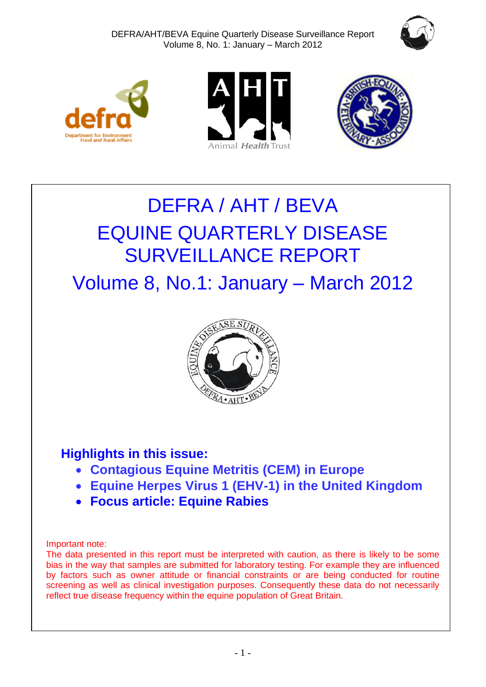







# DEFRA / AHT / BEVA EQUINE QUARTERLY DISEASE SURVEILLANCE REPORT

Volume 8, No.1: January – March 2012



# **Highlights in this issue:**

- **Contagious Equine Metritis (CEM) in Europe**
- **Equine Herpes Virus 1 (EHV-1) in the United Kingdom**
- **Focus article: Equine Rabies**

#### Important note:

The data presented in this report must be interpreted with caution, as there is likely to be some bias in the way that samples are submitted for laboratory testing. For example they are influenced by factors such as owner attitude or financial constraints or are being conducted for routine screening as well as clinical investigation purposes. Consequently these data do not necessarily reflect true disease frequency within the equine population of Great Britain.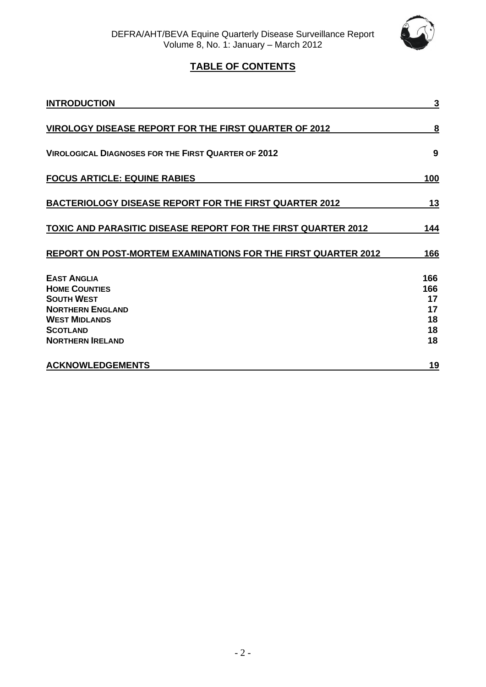

# **TABLE OF CONTENTS**

| <b>INTRODUCTION</b>                                                                                                                                              | 3                                        |
|------------------------------------------------------------------------------------------------------------------------------------------------------------------|------------------------------------------|
| <b>VIROLOGY DISEASE REPORT FOR THE FIRST QUARTER OF 2012</b>                                                                                                     | 8                                        |
| <b>VIROLOGICAL DIAGNOSES FOR THE FIRST QUARTER OF 2012</b>                                                                                                       | 9                                        |
| <b>FOCUS ARTICLE: EQUINE RABIES</b>                                                                                                                              | 100                                      |
| <b>BACTERIOLOGY DISEASE REPORT FOR THE FIRST QUARTER 2012</b>                                                                                                    | 13                                       |
| <b>TOXIC AND PARASITIC DISEASE REPORT FOR THE FIRST QUARTER 2012</b>                                                                                             | 144                                      |
| REPORT ON POST-MORTEM EXAMINATIONS FOR THE FIRST QUARTER 2012                                                                                                    | 166                                      |
| <b>EAST ANGLIA</b><br><b>HOME COUNTIES</b><br><b>SOUTH WEST</b><br><b>NORTHERN ENGLAND</b><br><b>WEST MIDLANDS</b><br><b>SCOTLAND</b><br><b>NORTHERN IRELAND</b> | 166<br>166<br>17<br>17<br>18<br>18<br>18 |
| <b>ACKNOWLEDGEMENTS</b>                                                                                                                                          | <u>19</u>                                |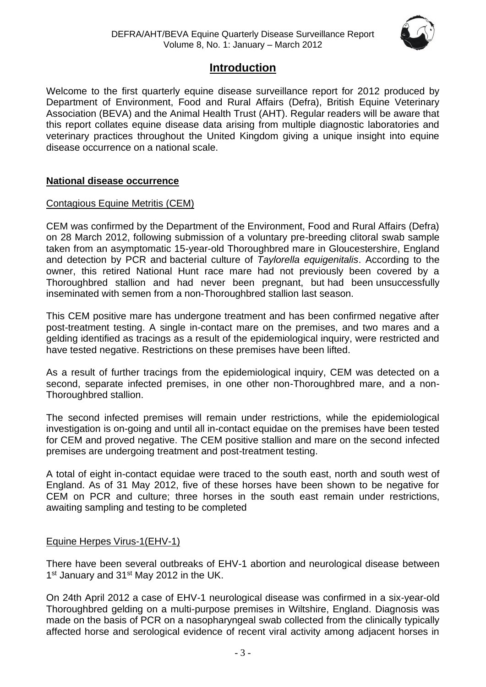

# **Introduction**

Welcome to the first quarterly equine disease surveillance report for 2012 produced by Department of Environment, Food and Rural Affairs (Defra), British Equine Veterinary Association (BEVA) and the Animal Health Trust (AHT). Regular readers will be aware that this report collates equine disease data arising from multiple diagnostic laboratories and veterinary practices throughout the United Kingdom giving a unique insight into equine disease occurrence on a national scale.

## **National disease occurrence**

## Contagious Equine Metritis (CEM)

CEM was confirmed by the Department of the Environment, Food and Rural Affairs (Defra) on 28 March 2012, following submission of a voluntary pre-breeding clitoral swab sample taken from an asymptomatic 15-year-old Thoroughbred mare in Gloucestershire, England and detection by PCR and bacterial culture of *Taylorella equigenitalis*. According to the owner, this retired National Hunt race mare had not previously been covered by a Thoroughbred stallion and had never been pregnant, but had been unsuccessfully inseminated with semen from a non-Thoroughbred stallion last season.

This CEM positive mare has undergone treatment and has been confirmed negative after post-treatment testing. A single in-contact mare on the premises, and two mares and a gelding identified as tracings as a result of the epidemiological inquiry, were restricted and have tested negative. Restrictions on these premises have been lifted.

As a result of further tracings from the epidemiological inquiry, CEM was detected on a second, separate infected premises, in one other non-Thoroughbred mare, and a non-Thoroughbred stallion.

The second infected premises will remain under restrictions, while the epidemiological investigation is on-going and until all in-contact equidae on the premises have been tested for CEM and proved negative. The CEM positive stallion and mare on the second infected premises are undergoing treatment and post-treatment testing.

A total of eight in-contact equidae were traced to the south east, north and south west of England. As of 31 May 2012, five of these horses have been shown to be negative for CEM on PCR and culture; three horses in the south east remain under restrictions, awaiting sampling and testing to be completed

#### Equine Herpes Virus-1(EHV-1)

There have been several outbreaks of EHV-1 abortion and neurological disease between 1<sup>st</sup> January and 31<sup>st</sup> May 2012 in the UK.

On 24th April 2012 a case of EHV-1 neurological disease was confirmed in a six-year-old Thoroughbred gelding on a multi-purpose premises in Wiltshire, England. Diagnosis was made on the basis of PCR on a nasopharyngeal swab collected from the clinically typically affected horse and serological evidence of recent viral activity among adjacent horses in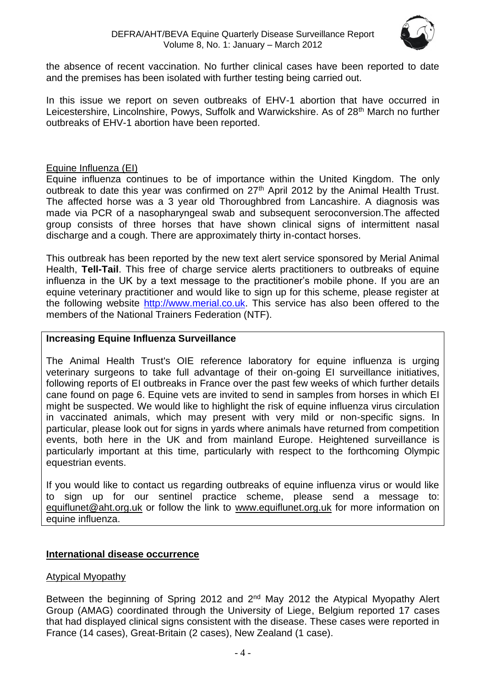

the absence of recent vaccination. No further clinical cases have been reported to date and the premises has been isolated with further testing being carried out.

In this issue we report on seven outbreaks of EHV-1 abortion that have occurred in Leicestershire, Lincolnshire, Powys, Suffolk and Warwickshire. As of 28<sup>th</sup> March no further outbreaks of EHV-1 abortion have been reported.

#### Equine Influenza (EI)

Equine influenza continues to be of importance within the United Kingdom. The only outbreak to date this year was confirmed on  $27<sup>th</sup>$  April 2012 by the Animal Health Trust. The affected horse was a 3 year old Thoroughbred from Lancashire. A diagnosis was made via PCR of a nasopharyngeal swab and subsequent seroconversion.The affected group consists of three horses that have shown clinical signs of intermittent nasal discharge and a cough. There are approximately thirty in-contact horses.

This outbreak has been reported by the new text alert service sponsored by Merial Animal Health, **Tell-Tail**. This free of charge service alerts practitioners to outbreaks of equine influenza in the UK by a text message to the practitioner's mobile phone. If you are an equine veterinary practitioner and would like to sign up for this scheme, please register at the following website [http://www.merial.co.uk.](http://www.merial.co.uk/) This service has also been offered to the members of the National Trainers Federation (NTF).

### **Increasing Equine Influenza Surveillance**

The Animal Health Trust's OIE reference laboratory for equine influenza is urging veterinary surgeons to take full advantage of their on-going EI surveillance initiatives, following reports of EI outbreaks in France over the past few weeks of which further details cane found on page 6. Equine vets are invited to send in samples from horses in which EI might be suspected. We would like to highlight the risk of equine influenza virus circulation in vaccinated animals, which may present with very mild or non-specific signs. In particular, please look out for signs in yards where animals have returned from competition events, both here in the UK and from mainland Europe. Heightened surveillance is particularly important at this time, particularly with respect to the forthcoming Olympic equestrian events.

If you would like to contact us regarding outbreaks of equine influenza virus or would like to sign up for our sentinel practice scheme, please send a message to: [equiflunet@aht.org.uk](mailto:equiflunet@aht.org.uk) or follow the link to [www.equiflunet.org.uk](http://www.equiflunet.org.uk/) for more information on equine influenza.

# **International disease occurrence**

#### Atypical Myopathy

Between the beginning of Spring 2012 and 2<sup>nd</sup> May 2012 the Atypical Myopathy Alert Group (AMAG) coordinated through the University of Liege, Belgium reported 17 cases that had displayed clinical signs consistent with the disease. These cases were reported in France (14 cases), Great-Britain (2 cases), New Zealand (1 case).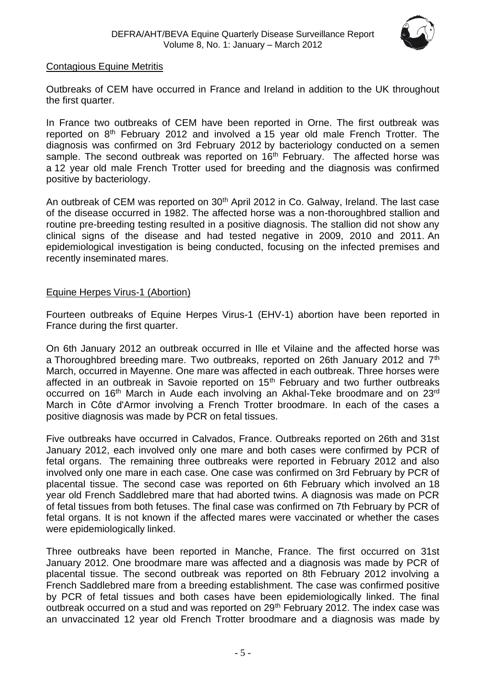

#### Contagious Equine Metritis

Outbreaks of CEM have occurred in France and Ireland in addition to the UK throughout the first quarter.

In France two outbreaks of CEM have been reported in Orne. The first outbreak was reported on  $8<sup>th</sup>$  February 2012 and involved a 15 year old male French Trotter. The diagnosis was confirmed on 3rd February 2012 by bacteriology conducted on a semen sample. The second outbreak was reported on 16<sup>th</sup> February. The affected horse was a 12 year old male French Trotter used for breeding and the diagnosis was confirmed positive by bacteriology.

An outbreak of CEM was reported on 30<sup>th</sup> April 2012 in Co. Galway, Ireland. The last case of the disease occurred in 1982. The affected horse was a non-thoroughbred stallion and routine pre-breeding testing resulted in a positive diagnosis. The stallion did not show any clinical signs of the disease and had tested negative in 2009, 2010 and 2011. An epidemiological investigation is being conducted, focusing on the infected premises and recently inseminated mares.

#### Equine Herpes Virus-1 (Abortion)

Fourteen outbreaks of Equine Herpes Virus-1 (EHV-1) abortion have been reported in France during the first quarter.

On 6th January 2012 an outbreak occurred in Ille et Vilaine and the affected horse was a Thoroughbred breeding mare. Two outbreaks, reported on 26th January 2012 and 7<sup>th</sup> March, occurred in Mayenne. One mare was affected in each outbreak. Three horses were affected in an outbreak in Savoie reported on 15<sup>th</sup> February and two further outbreaks occurred on 16<sup>th</sup> March in Aude each involving an Akhal-Teke broodmare and on 23<sup>rd</sup> March in Côte d'Armor involving a French Trotter broodmare. In each of the cases a positive diagnosis was made by PCR on fetal tissues.

Five outbreaks have occurred in Calvados, France. Outbreaks reported on 26th and 31st January 2012, each involved only one mare and both cases were confirmed by PCR of fetal organs. The remaining three outbreaks were reported in February 2012 and also involved only one mare in each case. One case was confirmed on 3rd February by PCR of placental tissue. The second case was reported on 6th February which involved an 18 year old French Saddlebred mare that had aborted twins. A diagnosis was made on PCR of fetal tissues from both fetuses. The final case was confirmed on 7th February by PCR of fetal organs. It is not known if the affected mares were vaccinated or whether the cases were epidemiologically linked.

Three outbreaks have been reported in Manche, France. The first occurred on 31st January 2012. One broodmare mare was affected and a diagnosis was made by PCR of placental tissue. The second outbreak was reported on 8th February 2012 involving a French Saddlebred mare from a breeding establishment. The case was confirmed positive by PCR of fetal tissues and both cases have been epidemiologically linked. The final outbreak occurred on a stud and was reported on 29<sup>th</sup> February 2012. The index case was an unvaccinated 12 year old French Trotter broodmare and a diagnosis was made by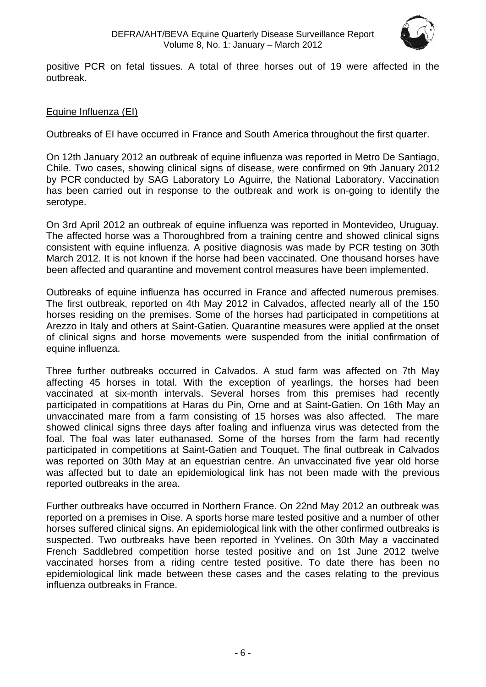

positive PCR on fetal tissues. A total of three horses out of 19 were affected in the outbreak.

## Equine Influenza (EI)

Outbreaks of EI have occurred in France and South America throughout the first quarter.

On 12th January 2012 an outbreak of equine influenza was reported in Metro De Santiago, Chile. Two cases, showing clinical signs of disease, were confirmed on 9th January 2012 by PCR conducted by SAG Laboratory Lo Aguirre, the National Laboratory. Vaccination has been carried out in response to the outbreak and work is on-going to identify the serotype.

On 3rd April 2012 an outbreak of equine influenza was reported in Montevideo, Uruguay. The affected horse was a Thoroughbred from a training centre and showed clinical signs consistent with equine influenza. A positive diagnosis was made by PCR testing on 30th March 2012. It is not known if the horse had been vaccinated. One thousand horses have been affected and quarantine and movement control measures have been implemented.

Outbreaks of equine influenza has occurred in France and affected numerous premises. The first outbreak, reported on 4th May 2012 in Calvados, affected nearly all of the 150 horses residing on the premises. Some of the horses had participated in competitions at Arezzo in Italy and others at Saint-Gatien. Quarantine measures were applied at the onset of clinical signs and horse movements were suspended from the initial confirmation of equine influenza.

Three further outbreaks occurred in Calvados. A stud farm was affected on 7th May affecting 45 horses in total. With the exception of yearlings, the horses had been vaccinated at six-month intervals. Several horses from this premises had recently participated in compatitions at Haras du Pin, Orne and at Saint-Gatien. On 16th May an unvaccinated mare from a farm consisting of 15 horses was also affected. The mare showed clinical signs three days after foaling and influenza virus was detected from the foal. The foal was later euthanased. Some of the horses from the farm had recently participated in competitions at Saint-Gatien and Touquet. The final outbreak in Calvados was reported on 30th May at an equestrian centre. An unvaccinated five year old horse was affected but to date an epidemiological link has not been made with the previous reported outbreaks in the area.

Further outbreaks have occurred in Northern France. On 22nd May 2012 an outbreak was reported on a premises in Oise. A sports horse mare tested positive and a number of other horses suffered clinical signs. An epidemiological link with the other confirmed outbreaks is suspected. Two outbreaks have been reported in Yvelines. On 30th May a vaccinated French Saddlebred competition horse tested positive and on 1st June 2012 twelve vaccinated horses from a riding centre tested positive. To date there has been no epidemiological link made between these cases and the cases relating to the previous influenza outbreaks in France.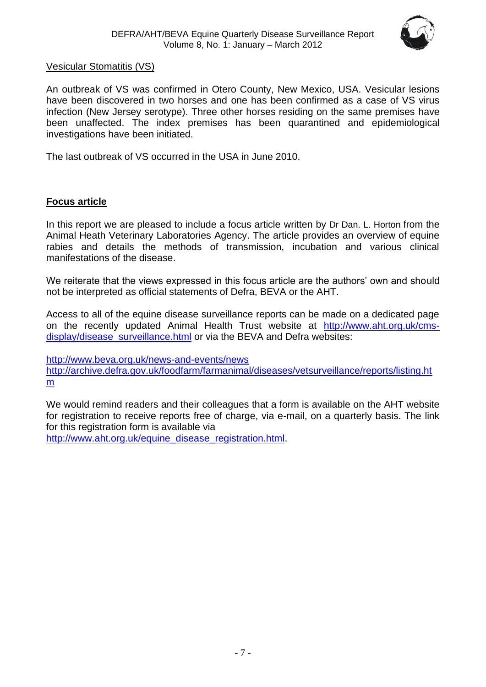

#### Vesicular Stomatitis (VS)

An outbreak of VS was confirmed in Otero County, New Mexico, USA. Vesicular lesions have been discovered in two horses and one has been confirmed as a case of VS virus infection (New Jersey serotype). Three other horses residing on the same premises have been unaffected. The index premises has been quarantined and epidemiological investigations have been initiated.

The last outbreak of VS occurred in the USA in June 2010.

# **Focus article**

In this report we are pleased to include a focus article written by Dr Dan. L. Horton from the Animal Heath Veterinary Laboratories Agency. The article provides an overview of equine rabies and details the methods of transmission, incubation and various clinical manifestations of the disease.

We reiterate that the views expressed in this focus article are the authors' own and should not be interpreted as official statements of Defra, BEVA or the AHT.

Access to all of the equine disease surveillance reports can be made on a dedicated page on the recently updated Animal Health Trust website at [http://www.aht.org.uk/cms](http://www.aht.org.uk/cms-display/disease_surveillance.html)[display/disease\\_surveillance.html](http://www.aht.org.uk/cms-display/disease_surveillance.html) or via the BEVA and Defra websites:

<http://www.beva.org.uk/news-and-events/news> [http://archive.defra.gov.uk/foodfarm/farmanimal/diseases/vetsurveillance/reports/listing.ht](http://archive.defra.gov.uk/foodfarm/farmanimal/diseases/vetsurveillance/reports/listing.htm) [m](http://archive.defra.gov.uk/foodfarm/farmanimal/diseases/vetsurveillance/reports/listing.htm)

We would remind readers and their colleagues that a form is available on the AHT website for registration to receive reports free of charge, via e-mail, on a quarterly basis. The link for this registration form is available via

[http://www.aht.org.uk/equine\\_disease\\_registration.html.](http://www.aht.org.uk/equine_disease_registration.html)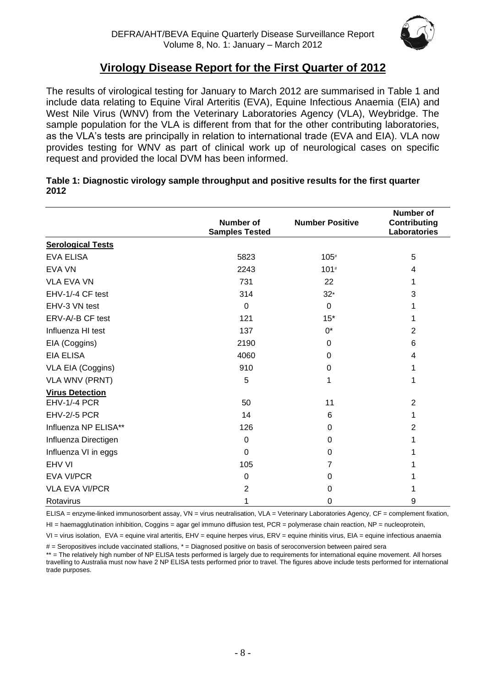

# **Virology Disease Report for the First Quarter of 2012**

The results of virological testing for January to March 2012 are summarised in Table 1 and include data relating to Equine Viral Arteritis (EVA), Equine Infectious Anaemia (EIA) and West Nile Virus (WNV) from the Veterinary Laboratories Agency (VLA), Weybridge. The sample population for the VLA is different from that for the other contributing laboratories, as the VLA's tests are principally in relation to international trade (EVA and EIA). VLA now provides testing for WNV as part of clinical work up of neurological cases on specific request and provided the local DVM has been informed.

|                          | <b>Number of</b><br><b>Samples Tested</b> | <b>Number Positive</b> | <b>Number of</b><br>Contributing<br>Laboratories |
|--------------------------|-------------------------------------------|------------------------|--------------------------------------------------|
| <b>Serological Tests</b> |                                           |                        |                                                  |
| <b>EVA ELISA</b>         | 5823                                      | $105*$                 | 5                                                |
| <b>EVA VN</b>            | 2243                                      | $101*$                 | 4                                                |
| <b>VLA EVA VN</b>        | 731                                       | 22                     | 1                                                |
| EHV-1/-4 CF test         | 314                                       | $32*$                  | 3                                                |
| EHV-3 VN test            | $\mathbf 0$                               | $\Omega$               | 1                                                |
| ERV-A/-B CF test         | 121                                       | $15*$                  | 1                                                |
| Influenza HI test        | 137                                       | $0^*$                  | $\overline{2}$                                   |
| EIA (Coggins)            | 2190                                      | 0                      | 6                                                |
| <b>EIA ELISA</b>         | 4060                                      | $\Omega$               | 4                                                |
| VLA EIA (Coggins)        | 910                                       | 0                      | 1                                                |
| <b>VLA WNV (PRNT)</b>    | 5                                         | 1                      | 1                                                |
| <b>Virus Detection</b>   |                                           |                        |                                                  |
| <b>EHV-1/-4 PCR</b>      | 50                                        | 11                     | $\overline{2}$                                   |
| <b>EHV-2/-5 PCR</b>      | 14                                        | 6                      | 1                                                |
| Influenza NP ELISA**     | 126                                       | $\Omega$               | $\overline{2}$                                   |
| Influenza Directigen     | 0                                         | 0                      | 1                                                |
| Influenza VI in eggs     | $\Omega$                                  | 0                      | 1                                                |
| EHV VI                   | 105                                       | 7                      | 1                                                |
| <b>EVA VI/PCR</b>        | 0                                         | $\Omega$               |                                                  |
| <b>VLA EVA VI/PCR</b>    | $\overline{2}$                            | 0                      |                                                  |
| Rotavirus                | 1                                         | 0                      | 9                                                |

#### **Table 1: Diagnostic virology sample throughput and positive results for the first quarter 2012**

ELISA = enzyme-linked immunosorbent assay, VN = virus neutralisation, VLA = Veterinary Laboratories Agency, CF = complement fixation,

 $H =$  haemagglutination inhibition, Coggins = agar gel immuno diffusion test, PCR = polymerase chain reaction, NP = nucleoprotein,

VI = virus isolation, EVA = equine viral arteritis, EHV = equine herpes virus, ERV = equine rhinitis virus, EIA = equine infectious anaemia

# = Seropositives include vaccinated stallions, \* = Diagnosed positive on basis of seroconversion between paired sera

\*\* = The relatively high number of NP ELISA tests performed is largely due to requirements for international equine movement. All horses travelling to Australia must now have 2 NP ELISA tests performed prior to travel. The figures above include tests performed for international trade purposes.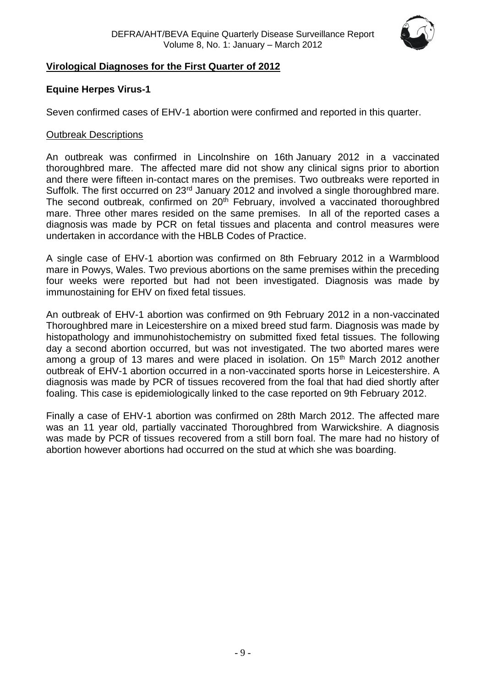

## <span id="page-8-0"></span>**Virological Diagnoses for the First Quarter of 2012**

## **Equine Herpes Virus-1**

Seven confirmed cases of EHV-1 abortion were confirmed and reported in this quarter.

#### Outbreak Descriptions

An outbreak was confirmed in Lincolnshire on 16th January 2012 in a vaccinated thoroughbred mare. The affected mare did not show any clinical signs prior to abortion and there were fifteen in-contact mares on the premises. Two outbreaks were reported in Suffolk. The first occurred on 23<sup>rd</sup> January 2012 and involved a single thoroughbred mare. The second outbreak, confirmed on 20<sup>th</sup> February, involved a vaccinated thoroughbred mare. Three other mares resided on the same premises. In all of the reported cases a diagnosis was made by PCR on fetal tissues and placenta and control measures were undertaken in accordance with the HBLB Codes of Practice.

A single case of EHV-1 abortion was confirmed on 8th February 2012 in a Warmblood mare in Powys, Wales. Two previous abortions on the same premises within the preceding four weeks were reported but had not been investigated. Diagnosis was made by immunostaining for EHV on fixed fetal tissues.

An outbreak of EHV-1 abortion was confirmed on 9th February 2012 in a non-vaccinated Thoroughbred mare in Leicestershire on a mixed breed stud farm. Diagnosis was made by histopathology and immunohistochemistry on submitted fixed fetal tissues. The following day a second abortion occurred, but was not investigated. The two aborted mares were among a group of 13 mares and were placed in isolation. On 15<sup>th</sup> March 2012 another outbreak of EHV-1 abortion occurred in a non-vaccinated sports horse in Leicestershire. A diagnosis was made by PCR of tissues recovered from the foal that had died shortly after foaling. This case is epidemiologically linked to the case reported on 9th February 2012.

<span id="page-8-1"></span>Finally a case of EHV-1 abortion was confirmed on 28th March 2012. The affected mare was an 11 year old, partially vaccinated Thoroughbred from Warwickshire. A diagnosis was made by PCR of tissues recovered from a still born foal. The mare had no history of abortion however abortions had occurred on the stud at which she was boarding.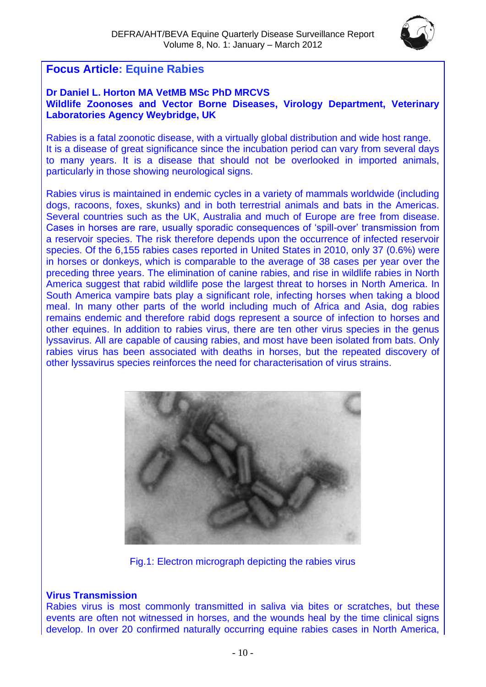

# **Focus Article: Equine Rabies**

## **Dr Daniel L. Horton MA VetMB MSc PhD MRCVS**

# **Wildlife Zoonoses and Vector Borne Diseases, Virology Department, Veterinary Laboratories Agency Weybridge, UK**

Rabies is a fatal zoonotic disease, with a virtually global distribution and wide host range. It is a disease of great significance since the incubation period can vary from several days to many years. It is a disease that should not be overlooked in imported animals, particularly in those showing neurological signs.

Rabies virus is maintained in endemic cycles in a variety of mammals worldwide (including dogs, racoons, foxes, skunks) and in both terrestrial animals and bats in the Americas. Several countries such as the UK, Australia and much of Europe are free from disease. Cases in horses are rare, usually sporadic consequences of 'spill-over' transmission from a reservoir species. The risk therefore depends upon the occurrence of infected reservoir species. Of the 6,155 rabies cases reported in United States in 2010, only 37 (0.6%) were in horses or donkeys, which is comparable to the average of 38 cases per year over the preceding three years. The elimination of canine rabies, and rise in wildlife rabies in North America suggest that rabid wildlife pose the largest threat to horses in North America. In South America vampire bats play a significant role, infecting horses when taking a blood meal. In many other parts of the world including much of Africa and Asia, dog rabies remains endemic and therefore rabid dogs represent a source of infection to horses and other equines. In addition to rabies virus, there are ten other virus species in the genus lyssavirus. All are capable of causing rabies, and most have been isolated from bats. Only rabies virus has been associated with deaths in horses, but the repeated discovery of other lyssavirus species reinforces the need for characterisation of virus strains.



Fig.1: Electron micrograph depicting the rabies virus

# **Virus Transmission**

Rabies virus is most commonly transmitted in saliva via bites or scratches, but these events are often not witnessed in horses, and the wounds heal by the time clinical signs develop. In over 20 confirmed naturally occurring equine rabies cases in North America,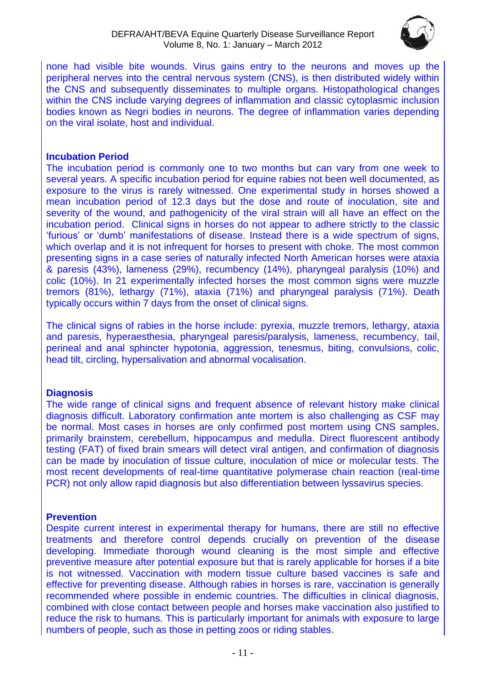

none had visible bite wounds. Virus gains entry to the neurons and moves up the peripheral nerves into the central nervous system (CNS), is then distributed widely within the CNS and subsequently disseminates to multiple organs. Histopathological changes within the CNS include varying degrees of inflammation and classic cytoplasmic inclusion bodies known as Negri bodies in neurons. The degree of inflammation varies depending on the viral isolate, host and individual.

#### **Incubation Period**

The incubation period is commonly one to two months but can vary from one week to several years. A specific incubation period for equine rabies not been well documented, as exposure to the virus is rarely witnessed. One experimental study in horses showed a mean incubation period of 12.3 days but the dose and route of inoculation, site and severity of the wound, and pathogenicity of the viral strain will all have an effect on the incubation period. Clinical signs in horses do not appear to adhere strictly to the classic 'furious' or 'dumb' manifestations of disease. Instead there is a wide spectrum of signs, which overlap and it is not infrequent for horses to present with choke. The most common presenting signs in a case series of naturally infected North American horses were ataxia & paresis (43%), lameness (29%), recumbency (14%), pharyngeal paralysis (10%) and colic (10%). In 21 experimentally infected horses the most common signs were muzzle tremors (81%), lethargy (71%), ataxia (71%) and pharyngeal paralysis (71%). Death typically occurs within 7 days from the onset of clinical signs.

The clinical signs of rabies in the horse include: pyrexia, muzzle tremors, lethargy, ataxia and paresis, hyperaesthesia, pharyngeal paresis/paralysis, lameness, recumbency, tail, perineal and anal sphincter hypotonia, aggression, tenesmus, biting, convulsions, colic, head tilt, circling, hypersalivation and abnormal vocalisation.

#### **Diagnosis**

The wide range of clinical signs and frequent absence of relevant history make clinical diagnosis difficult. Laboratory confirmation ante mortem is also challenging as CSF may be normal. Most cases in horses are only confirmed post mortem using CNS samples, primarily brainstem, cerebellum, hippocampus and medulla. Direct fluorescent antibody testing (FAT) of fixed brain smears will detect viral antigen, and confirmation of diagnosis can be made by inoculation of tissue culture, inoculation of mice or molecular tests. The most recent developments of real-time quantitative polymerase chain reaction (real-time PCR) not only allow rapid diagnosis but also differentiation between lyssavirus species.

#### **Prevention**

Despite current interest in experimental therapy for humans, there are still no effective treatments and therefore control depends crucially on prevention of the disease developing. Immediate thorough wound cleaning is the most simple and effective preventive measure after potential exposure but that is rarely applicable for horses if a bite is not witnessed. Vaccination with modern tissue culture based vaccines is safe and effective for preventing disease. Although rabies in horses is rare, vaccination is generally recommended where possible in endemic countries. The difficulties in clinical diagnosis, combined with close contact between people and horses make vaccination also justified to reduce the risk to humans. This is particularly important for animals with exposure to large numbers of people, such as those in petting zoos or riding stables.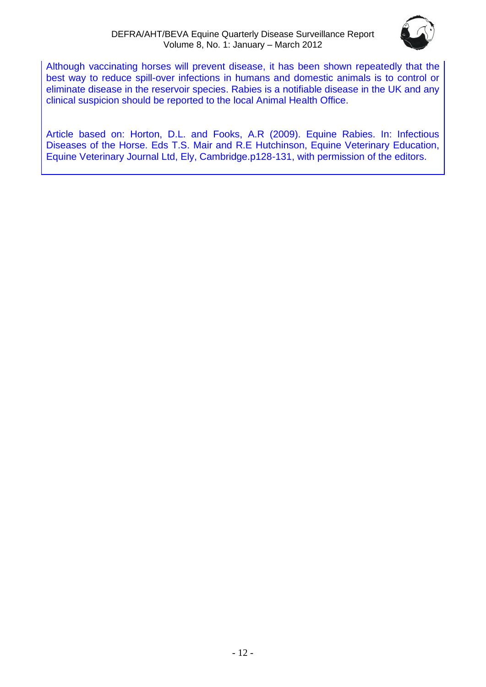

Although vaccinating horses will prevent disease, it has been shown repeatedly that the best way to reduce spill-over infections in humans and domestic animals is to control or eliminate disease in the reservoir species. Rabies is a notifiable disease in the UK and any clinical suspicion should be reported to the local Animal Health Office.

Article based on: Horton, D.L. and Fooks, A.R (2009). Equine Rabies. In: Infectious Diseases of the Horse. Eds T.S. Mair and R.E Hutchinson, Equine Veterinary Education, Equine Veterinary Journal Ltd, Ely, Cambridge.p128-131, with permission of the editors.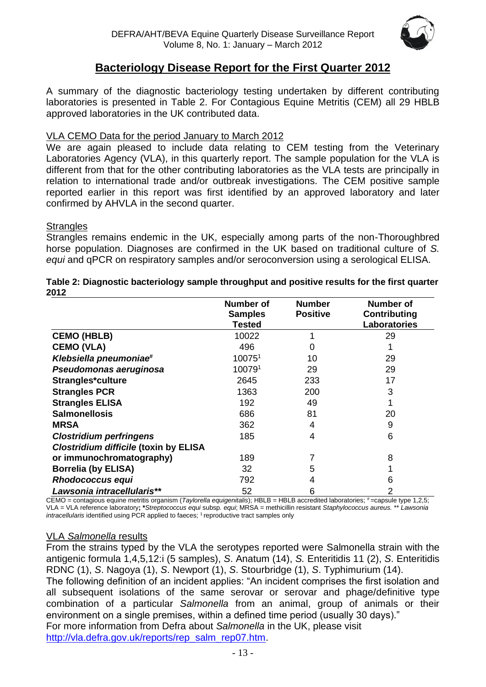

# **Bacteriology Disease Report for the First Quarter 2012**

A summary of the diagnostic bacteriology testing undertaken by different contributing laboratories is presented in Table 2. For Contagious Equine Metritis (CEM) all 29 HBLB approved laboratories in the UK contributed data.

### VLA CEMO Data for the period January to March 2012

We are again pleased to include data relating to CEM testing from the Veterinary Laboratories Agency (VLA), in this quarterly report. The sample population for the VLA is different from that for the other contributing laboratories as the VLA tests are principally in relation to international trade and/or outbreak investigations. The CEM positive sample reported earlier in this report was first identified by an approved laboratory and later confirmed by AHVLA in the second quarter.

#### **Strangles**

Strangles remains endemic in the UK, especially among parts of the non-Thoroughbred horse population. Diagnoses are confirmed in the UK based on traditional culture of *S. equi* and qPCR on respiratory samples and/or seroconversion using a serological ELISA.

|                                              | Number of<br><b>Samples</b><br><b>Tested</b> | <b>Number</b><br><b>Positive</b> | Number of<br><b>Contributing</b><br>Laboratories |
|----------------------------------------------|----------------------------------------------|----------------------------------|--------------------------------------------------|
| <b>CEMO (HBLB)</b>                           | 10022                                        |                                  | 29                                               |
| <b>CEMO (VLA)</b>                            | 496                                          |                                  |                                                  |
| Klebsiella pneumoniae <sup>#</sup>           | 100751                                       | 10                               | 29                                               |
| Pseudomonas aeruginosa                       | 100791                                       | 29                               | 29                                               |
| Strangles*culture                            | 2645                                         | 233                              | 17                                               |
| <b>Strangles PCR</b>                         | 1363                                         | 200                              | 3                                                |
| <b>Strangles ELISA</b>                       | 192                                          | 49                               |                                                  |
| <b>Salmonellosis</b>                         | 686                                          | 81                               | 20                                               |
| <b>MRSA</b>                                  | 362                                          | 4                                | 9                                                |
| <b>Clostridium perfringens</b>               | 185                                          | 4                                | 6                                                |
| <b>Clostridium difficile (toxin by ELISA</b> |                                              |                                  |                                                  |
| or immunochromatography)                     | 189                                          |                                  | 8                                                |
| <b>Borrelia (by ELISA)</b>                   | 32                                           | 5                                |                                                  |
| <b>Rhodococcus equi</b>                      | 792                                          | 4                                | 6                                                |
| Lawsonia intracellularis**                   | 52                                           | 6                                | 2                                                |

#### **Table 2: Diagnostic bacteriology sample throughput and positive results for the first quarter 2012**

CEMO = contagious equine metritis organism (Taylorella equigenitalis); HBLB = HBLB accredited laboratories; #=capsule type 1,2,5; VLA = VLA reference laboratory**; \****Streptococcus equi* subsp*. equi*; MRSA = methicillin resistant *Staphylococcus aureus.* \*\* *Lawsonia intracellularis* identified using PCR applied to faeces; <sup>1</sup> reproductive tract samples only

#### VLA *Salmonella* results

From the strains typed by the VLA the serotypes reported were Salmonella strain with the antigenic formula 1,4,5,12:i (5 samples), *S*. Anatum (14), *S.* Enteritidis 11 (2), *S*. Enteritidis RDNC (1), *S*. Nagoya (1), *S*. Newport (1), *S*. Stourbridge (1), *S*. Typhimurium (14). The following definition of an incident applies: "An incident comprises the first isolation and all subsequent isolations of the same serovar or serovar and phage/definitive type

combination of a particular *Salmonella* from an animal, group of animals or their environment on a single premises, within a defined time period (usually 30 days)." For more information from Defra about *Salmonella* in the UK, please visit

[http://vla.defra.gov.uk/reports/rep\\_salm\\_rep07.htm.](http://vla.defra.gov.uk/reports/rep_salm_rep07.htm)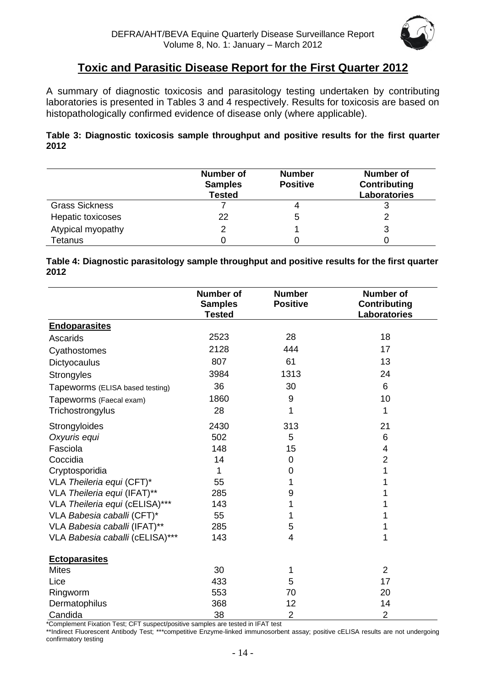

# **Toxic and Parasitic Disease Report for the First Quarter 2012**

<span id="page-13-0"></span>A summary of diagnostic toxicosis and parasitology testing undertaken by contributing laboratories is presented in Tables 3 and 4 respectively. Results for toxicosis are based on histopathologically confirmed evidence of disease only (where applicable).

#### **Table 3: Diagnostic toxicosis sample throughput and positive results for the first quarter 2012**

|                       | Number of<br><b>Samples</b><br><b>Tested</b> | <b>Number</b><br><b>Positive</b> | <b>Number of</b><br>Contributing<br><b>Laboratories</b> |
|-----------------------|----------------------------------------------|----------------------------------|---------------------------------------------------------|
| <b>Grass Sickness</b> |                                              |                                  |                                                         |
| Hepatic toxicoses     | 22                                           | 5                                |                                                         |
| Atypical myopathy     |                                              |                                  | З                                                       |
| Tetanus               |                                              |                                  |                                                         |

|      | Table 4: Diagnostic parasitology sample throughput and positive results for the first quarter |  |
|------|-----------------------------------------------------------------------------------------------|--|
| 2012 |                                                                                               |  |

|                                 | <b>Number of</b><br><b>Samples</b><br><b>Tested</b> | <b>Number</b><br><b>Positive</b> | <b>Number of</b><br><b>Contributing</b><br>Laboratories |
|---------------------------------|-----------------------------------------------------|----------------------------------|---------------------------------------------------------|
| <b>Endoparasites</b>            |                                                     |                                  |                                                         |
| Ascarids                        | 2523                                                | 28                               | 18                                                      |
| Cyathostomes                    | 2128                                                | 444                              | 17                                                      |
| Dictyocaulus                    | 807                                                 | 61                               | 13                                                      |
| Strongyles                      | 3984                                                | 1313                             | 24                                                      |
| Tapeworms (ELISA based testing) | 36                                                  | 30                               | 6                                                       |
| Tapeworms (Faecal exam)         | 1860                                                | 9                                | 10                                                      |
| Trichostrongylus                | 28                                                  | 1                                | 1                                                       |
| Strongyloides                   | 2430                                                | 313                              | 21                                                      |
| Oxyuris equi                    | 502                                                 | 5                                | 6                                                       |
| Fasciola                        | 148                                                 | 15                               | 4                                                       |
| Coccidia                        | 14                                                  | 0                                | $\overline{2}$                                          |
| Cryptosporidia                  | 1                                                   | 0                                | 1                                                       |
| VLA Theileria equi (CFT)*       | 55                                                  | 1                                |                                                         |
| VLA Theileria equi (IFAT)**     | 285                                                 | 9                                |                                                         |
| VLA Theileria equi (cELISA)***  | 143                                                 | 1                                |                                                         |
| VLA Babesia caballi (CFT)*      | 55                                                  | 1                                |                                                         |
| VLA Babesia caballi (IFAT)**    | 285                                                 | 5                                |                                                         |
| VLA Babesia caballi (cELISA)*** | 143                                                 | $\overline{4}$                   | 1                                                       |
| <b>Ectoparasites</b>            |                                                     |                                  |                                                         |
| <b>Mites</b>                    | 30                                                  | 1                                | $\overline{2}$                                          |
| Lice                            | 433                                                 | 5                                | 17                                                      |
| Ringworm                        | 553                                                 | 70                               | 20                                                      |
| Dermatophilus                   | 368                                                 | 12                               | 14                                                      |
| Candida                         | 38                                                  | $\overline{2}$                   | $\overline{2}$                                          |

\*Complement Fixation Test; CFT suspect/positive samples are tested in IFAT test

\*\*Indirect Fluorescent Antibody Test; \*\*\*competitive Enzyme-linked immunosorbent assay; positive cELISA results are not undergoing confirmatory testing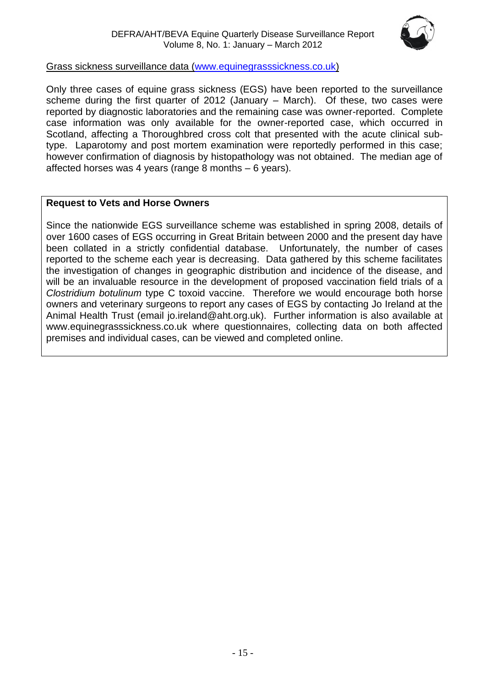

#### Grass sickness surveillance data [\(www.equinegrasssickness.co.uk\)](http://www.equinegrasssickness.co.uk/)

Only three cases of equine grass sickness (EGS) have been reported to the surveillance scheme during the first quarter of 2012 (January – March). Of these, two cases were reported by diagnostic laboratories and the remaining case was owner-reported. Complete case information was only available for the owner-reported case, which occurred in Scotland, affecting a Thoroughbred cross colt that presented with the acute clinical subtype. Laparotomy and post mortem examination were reportedly performed in this case; however confirmation of diagnosis by histopathology was not obtained. The median age of affected horses was 4 years (range 8 months – 6 years).

## **Request to Vets and Horse Owners**

Since the nationwide EGS surveillance scheme was established in spring 2008, details of over 1600 cases of EGS occurring in Great Britain between 2000 and the present day have been collated in a strictly confidential database. Unfortunately, the number of cases reported to the scheme each year is decreasing. Data gathered by this scheme facilitates the investigation of changes in geographic distribution and incidence of the disease, and will be an invaluable resource in the development of proposed vaccination field trials of a *Clostridium botulinum* type C toxoid vaccine. Therefore we would encourage both horse owners and veterinary surgeons to report any cases of EGS by contacting Jo Ireland at the Animal Health Trust (email jo.ireland@aht.org.uk). Further information is also available at www.equinegrasssickness.co.uk where questionnaires, collecting data on both affected premises and individual cases, can be viewed and completed online.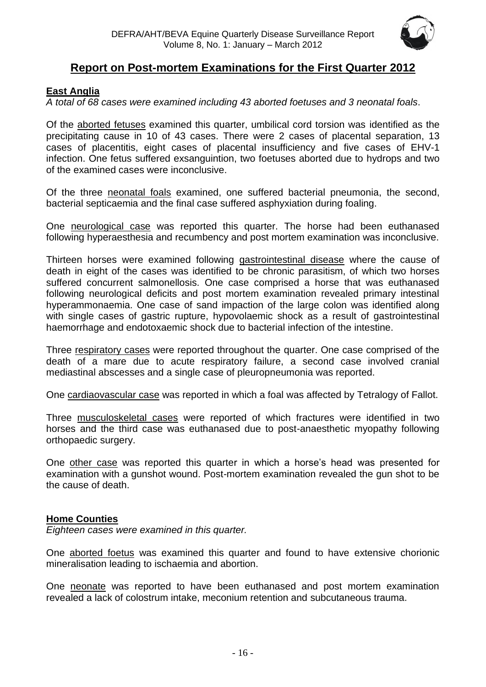

# **Report on Post-mortem Examinations for the First Quarter 2012**

# <span id="page-15-1"></span><span id="page-15-0"></span>**East Anglia**

*A total of 68 cases were examined including 43 aborted foetuses and 3 neonatal foals*.

Of the aborted fetuses examined this quarter, umbilical cord torsion was identified as the precipitating cause in 10 of 43 cases. There were 2 cases of placental separation, 13 cases of placentitis, eight cases of placental insufficiency and five cases of EHV-1 infection. One fetus suffered exsanguintion, two foetuses aborted due to hydrops and two of the examined cases were inconclusive.

Of the three neonatal foals examined, one suffered bacterial pneumonia, the second, bacterial septicaemia and the final case suffered asphyxiation during foaling.

One neurological case was reported this quarter. The horse had been euthanased following hyperaesthesia and recumbency and post mortem examination was inconclusive.

Thirteen horses were examined following gastrointestinal disease where the cause of death in eight of the cases was identified to be chronic parasitism, of which two horses suffered concurrent salmonellosis. One case comprised a horse that was euthanased following neurological deficits and post mortem examination revealed primary intestinal hyperammonaemia. One case of sand impaction of the large colon was identified along with single cases of gastric rupture, hypovolaemic shock as a result of gastrointestinal haemorrhage and endotoxaemic shock due to bacterial infection of the intestine.

Three respiratory cases were reported throughout the quarter. One case comprised of the death of a mare due to acute respiratory failure, a second case involved cranial mediastinal abscesses and a single case of pleuropneumonia was reported.

One cardiaovascular case was reported in which a foal was affected by Tetralogy of Fallot.

Three musculoskeletal cases were reported of which fractures were identified in two horses and the third case was euthanased due to post-anaesthetic myopathy following orthopaedic surgery.

One other case was reported this quarter in which a horse's head was presented for examination with a gunshot wound. Post-mortem examination revealed the gun shot to be the cause of death.

# <span id="page-15-2"></span>**Home Counties**

*Eighteen cases were examined in this quarter.*

One aborted foetus was examined this quarter and found to have extensive chorionic mineralisation leading to ischaemia and abortion.

One neonate was reported to have been euthanased and post mortem examination revealed a lack of colostrum intake, meconium retention and subcutaneous trauma.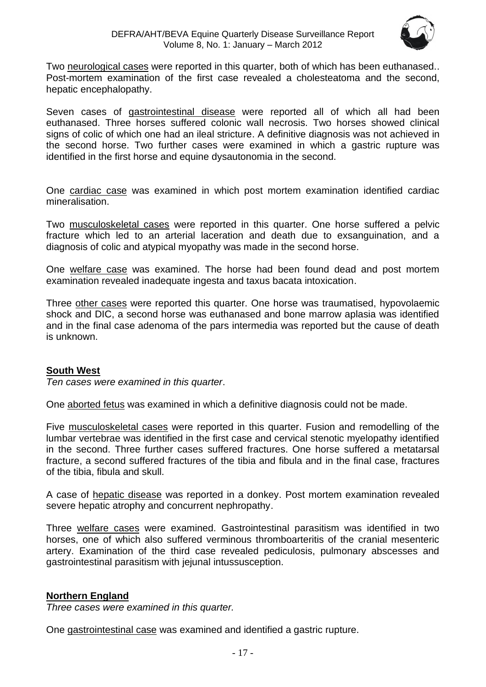

Two neurological cases were reported in this quarter, both of which has been euthanased.. Post-mortem examination of the first case revealed a cholesteatoma and the second, hepatic encephalopathy.

Seven cases of gastrointestinal disease were reported all of which all had been euthanased. Three horses suffered colonic wall necrosis. Two horses showed clinical signs of colic of which one had an ileal stricture. A definitive diagnosis was not achieved in the second horse. Two further cases were examined in which a gastric rupture was identified in the first horse and equine dysautonomia in the second.

One cardiac case was examined in which post mortem examination identified cardiac mineralisation.

Two musculoskeletal cases were reported in this quarter. One horse suffered a pelvic fracture which led to an arterial laceration and death due to exsanguination, and a diagnosis of colic and atypical myopathy was made in the second horse.

One welfare case was examined. The horse had been found dead and post mortem examination revealed inadequate ingesta and taxus bacata intoxication.

Three other cases were reported this quarter. One horse was traumatised, hypovolaemic shock and DIC, a second horse was euthanased and bone marrow aplasia was identified and in the final case adenoma of the pars intermedia was reported but the cause of death is unknown.

#### <span id="page-16-0"></span>**South West**

*Ten cases were examined in this quarter*.

One aborted fetus was examined in which a definitive diagnosis could not be made.

Five musculoskeletal cases were reported in this quarter. Fusion and remodelling of the lumbar vertebrae was identified in the first case and cervical stenotic myelopathy identified in the second. Three further cases suffered fractures. One horse suffered a metatarsal fracture, a second suffered fractures of the tibia and fibula and in the final case, fractures of the tibia, fibula and skull.

A case of hepatic disease was reported in a donkey. Post mortem examination revealed severe hepatic atrophy and concurrent nephropathy.

Three welfare cases were examined. Gastrointestinal parasitism was identified in two horses, one of which also suffered verminous thromboarteritis of the cranial mesenteric artery. Examination of the third case revealed pediculosis, pulmonary abscesses and gastrointestinal parasitism with jejunal intussusception.

#### <span id="page-16-1"></span>**Northern England**

*Three cases were examined in this quarter.*

One gastrointestinal case was examined and identified a gastric rupture.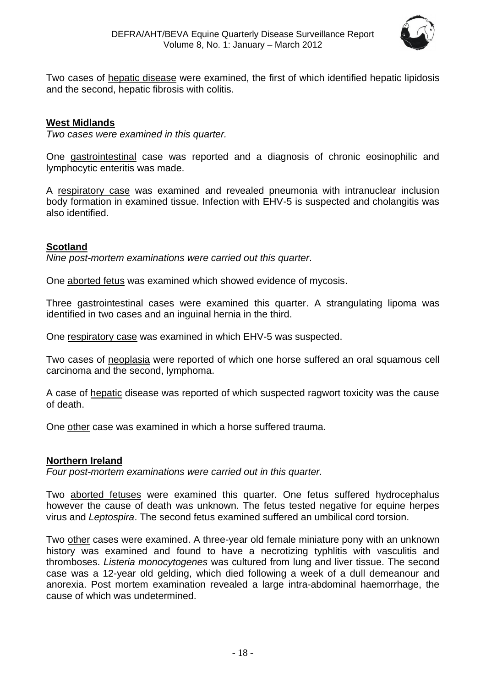

Two cases of hepatic disease were examined, the first of which identified hepatic lipidosis and the second, hepatic fibrosis with colitis.

#### <span id="page-17-0"></span>**West Midlands**

*Two cases were examined in this quarter.* 

One gastrointestinal case was reported and a diagnosis of chronic eosinophilic and lymphocytic enteritis was made.

A respiratory case was examined and revealed pneumonia with intranuclear inclusion body formation in examined tissue. Infection with EHV-5 is suspected and cholangitis was also identified.

#### <span id="page-17-1"></span>**Scotland**

*Nine post-mortem examinations were carried out this quarter*.

One aborted fetus was examined which showed evidence of mycosis.

Three gastrointestinal cases were examined this quarter. A strangulating lipoma was identified in two cases and an inguinal hernia in the third.

One respiratory case was examined in which EHV-5 was suspected.

Two cases of neoplasia were reported of which one horse suffered an oral squamous cell carcinoma and the second, lymphoma.

A case of hepatic disease was reported of which suspected ragwort toxicity was the cause of death.

One other case was examined in which a horse suffered trauma.

#### <span id="page-17-2"></span>**Northern Ireland**

*Four post-mortem examinations were carried out in this quarter.*

Two aborted fetuses were examined this quarter. One fetus suffered hydrocephalus however the cause of death was unknown. The fetus tested negative for equine herpes virus and *Leptospira*. The second fetus examined suffered an umbilical cord torsion.

Two other cases were examined. A three-year old female miniature pony with an unknown history was examined and found to have a necrotizing typhlitis with vasculitis and thromboses. *Listeria monocytogenes* was cultured from lung and liver tissue. The second case was a 12-year old gelding, which died following a week of a dull demeanour and anorexia. Post mortem examination revealed a large intra-abdominal haemorrhage, the cause of which was undetermined.